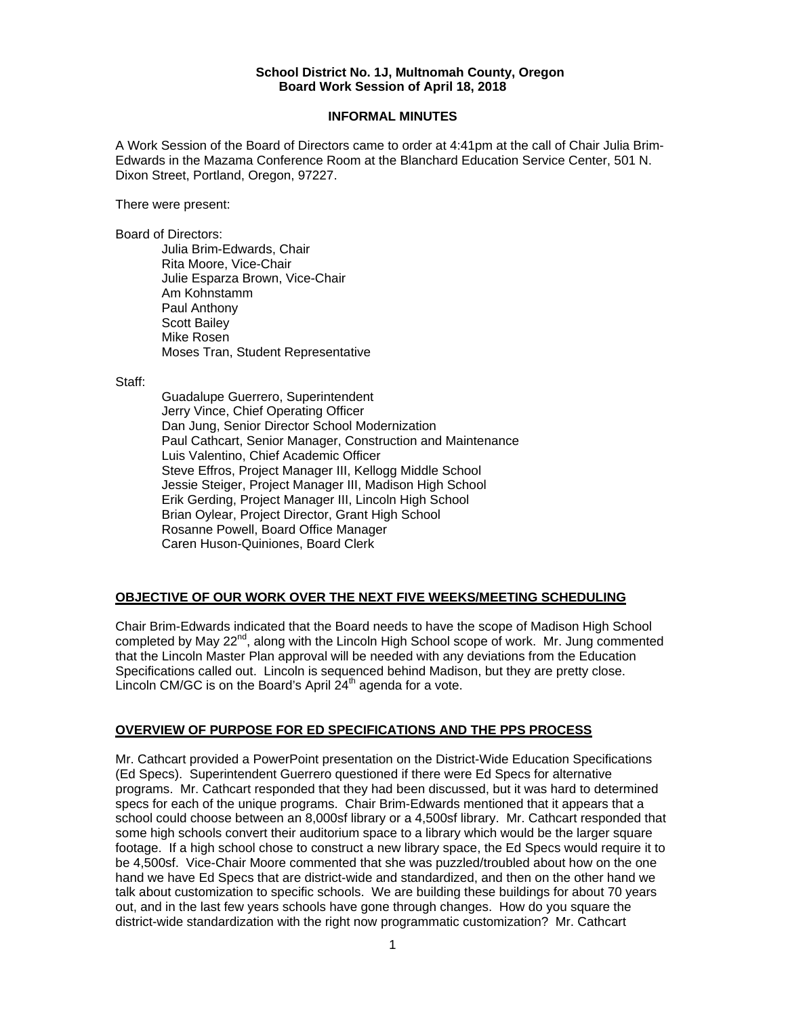#### **School District No. 1J, Multnomah County, Oregon Board Work Session of April 18, 2018**

### **INFORMAL MINUTES**

A Work Session of the Board of Directors came to order at 4:41pm at the call of Chair Julia Brim-Edwards in the Mazama Conference Room at the Blanchard Education Service Center, 501 N. Dixon Street, Portland, Oregon, 97227.

There were present:

Board of Directors:

Julia Brim-Edwards, Chair Rita Moore, Vice-Chair Julie Esparza Brown, Vice-Chair Am Kohnstamm Paul Anthony Scott Bailey Mike Rosen Moses Tran, Student Representative

Staff:

 Guadalupe Guerrero, Superintendent Jerry Vince, Chief Operating Officer Dan Jung, Senior Director School Modernization Paul Cathcart, Senior Manager, Construction and Maintenance Luis Valentino, Chief Academic Officer Steve Effros, Project Manager III, Kellogg Middle School Jessie Steiger, Project Manager III, Madison High School Erik Gerding, Project Manager III, Lincoln High School Brian Oylear, Project Director, Grant High School Rosanne Powell, Board Office Manager Caren Huson-Quiniones, Board Clerk

# **OBJECTIVE OF OUR WORK OVER THE NEXT FIVE WEEKS/MEETING SCHEDULING**

Chair Brim-Edwards indicated that the Board needs to have the scope of Madison High School completed by May  $22<sup>nd</sup>$ , along with the Lincoln High School scope of work. Mr. Jung commented that the Lincoln Master Plan approval will be needed with any deviations from the Education Specifications called out. Lincoln is sequenced behind Madison, but they are pretty close. Lincoln CM/GC is on the Board's April  $24<sup>th</sup>$  agenda for a vote.

# **OVERVIEW OF PURPOSE FOR ED SPECIFICATIONS AND THE PPS PROCESS**

Mr. Cathcart provided a PowerPoint presentation on the District-Wide Education Specifications (Ed Specs). Superintendent Guerrero questioned if there were Ed Specs for alternative programs. Mr. Cathcart responded that they had been discussed, but it was hard to determined specs for each of the unique programs. Chair Brim-Edwards mentioned that it appears that a school could choose between an 8,000sf library or a 4,500sf library. Mr. Cathcart responded that some high schools convert their auditorium space to a library which would be the larger square footage. If a high school chose to construct a new library space, the Ed Specs would require it to be 4,500sf. Vice-Chair Moore commented that she was puzzled/troubled about how on the one hand we have Ed Specs that are district-wide and standardized, and then on the other hand we talk about customization to specific schools. We are building these buildings for about 70 years out, and in the last few years schools have gone through changes. How do you square the district-wide standardization with the right now programmatic customization? Mr. Cathcart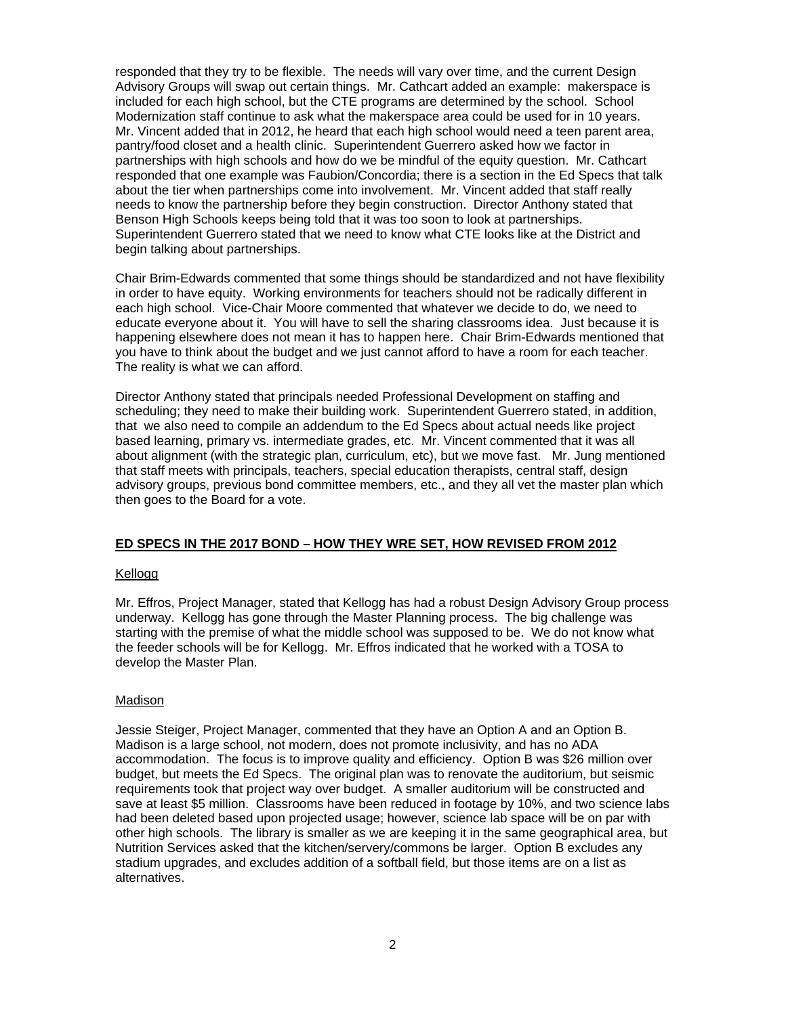responded that they try to be flexible. The needs will vary over time, and the current Design Advisory Groups will swap out certain things. Mr. Cathcart added an example: makerspace is included for each high school, but the CTE programs are determined by the school. School Modernization staff continue to ask what the makerspace area could be used for in 10 years. Mr. Vincent added that in 2012, he heard that each high school would need a teen parent area, pantry/food closet and a health clinic. Superintendent Guerrero asked how we factor in partnerships with high schools and how do we be mindful of the equity question. Mr. Cathcart responded that one example was Faubion/Concordia; there is a section in the Ed Specs that talk about the tier when partnerships come into involvement. Mr. Vincent added that staff really needs to know the partnership before they begin construction. Director Anthony stated that Benson High Schools keeps being told that it was too soon to look at partnerships. Superintendent Guerrero stated that we need to know what CTE looks like at the District and begin talking about partnerships.

Chair Brim-Edwards commented that some things should be standardized and not have flexibility in order to have equity. Working environments for teachers should not be radically different in each high school. Vice-Chair Moore commented that whatever we decide to do, we need to educate everyone about it. You will have to sell the sharing classrooms idea. Just because it is happening elsewhere does not mean it has to happen here. Chair Brim-Edwards mentioned that you have to think about the budget and we just cannot afford to have a room for each teacher. The reality is what we can afford.

Director Anthony stated that principals needed Professional Development on staffing and scheduling; they need to make their building work. Superintendent Guerrero stated, in addition, that we also need to compile an addendum to the Ed Specs about actual needs like project based learning, primary vs. intermediate grades, etc. Mr. Vincent commented that it was all about alignment (with the strategic plan, curriculum, etc), but we move fast. Mr. Jung mentioned that staff meets with principals, teachers, special education therapists, central staff, design advisory groups, previous bond committee members, etc., and they all vet the master plan which then goes to the Board for a vote.

### **ED SPECS IN THE 2017 BOND – HOW THEY WRE SET, HOW REVISED FROM 2012**

### Kellogg

Mr. Effros, Project Manager, stated that Kellogg has had a robust Design Advisory Group process underway. Kellogg has gone through the Master Planning process. The big challenge was starting with the premise of what the middle school was supposed to be. We do not know what the feeder schools will be for Kellogg. Mr. Effros indicated that he worked with a TOSA to develop the Master Plan.

### Madison

Jessie Steiger, Project Manager, commented that they have an Option A and an Option B. Madison is a large school, not modern, does not promote inclusivity, and has no ADA accommodation. The focus is to improve quality and efficiency. Option B was \$26 million over budget, but meets the Ed Specs. The original plan was to renovate the auditorium, but seismic requirements took that project way over budget. A smaller auditorium will be constructed and save at least \$5 million. Classrooms have been reduced in footage by 10%, and two science labs had been deleted based upon projected usage; however, science lab space will be on par with other high schools. The library is smaller as we are keeping it in the same geographical area, but Nutrition Services asked that the kitchen/servery/commons be larger. Option B excludes any stadium upgrades, and excludes addition of a softball field, but those items are on a list as alternatives.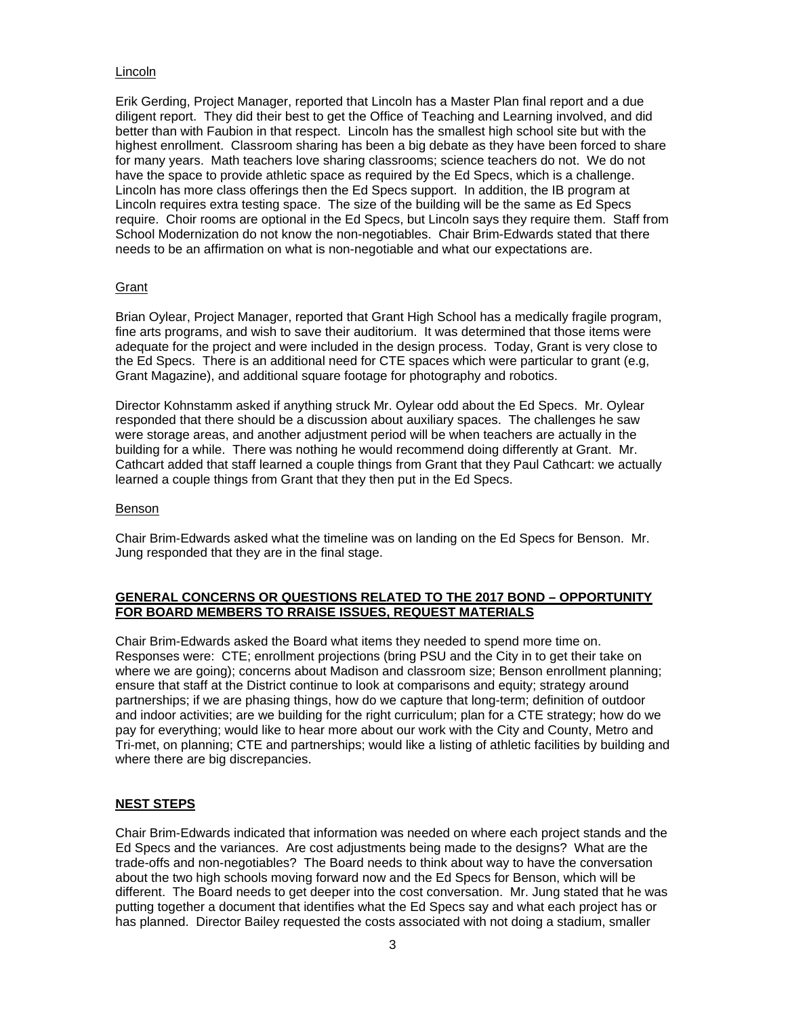### Lincoln

Erik Gerding, Project Manager, reported that Lincoln has a Master Plan final report and a due diligent report. They did their best to get the Office of Teaching and Learning involved, and did better than with Faubion in that respect. Lincoln has the smallest high school site but with the highest enrollment. Classroom sharing has been a big debate as they have been forced to share for many years. Math teachers love sharing classrooms; science teachers do not. We do not have the space to provide athletic space as required by the Ed Specs, which is a challenge. Lincoln has more class offerings then the Ed Specs support. In addition, the IB program at Lincoln requires extra testing space. The size of the building will be the same as Ed Specs require. Choir rooms are optional in the Ed Specs, but Lincoln says they require them. Staff from School Modernization do not know the non-negotiables. Chair Brim-Edwards stated that there needs to be an affirmation on what is non-negotiable and what our expectations are.

## **Grant**

Brian Oylear, Project Manager, reported that Grant High School has a medically fragile program, fine arts programs, and wish to save their auditorium. It was determined that those items were adequate for the project and were included in the design process. Today, Grant is very close to the Ed Specs. There is an additional need for CTE spaces which were particular to grant (e.g, Grant Magazine), and additional square footage for photography and robotics.

Director Kohnstamm asked if anything struck Mr. Oylear odd about the Ed Specs. Mr. Oylear responded that there should be a discussion about auxiliary spaces. The challenges he saw were storage areas, and another adjustment period will be when teachers are actually in the building for a while. There was nothing he would recommend doing differently at Grant. Mr. Cathcart added that staff learned a couple things from Grant that they Paul Cathcart: we actually learned a couple things from Grant that they then put in the Ed Specs.

### Benson

Chair Brim-Edwards asked what the timeline was on landing on the Ed Specs for Benson. Mr. Jung responded that they are in the final stage.

## **GENERAL CONCERNS OR QUESTIONS RELATED TO THE 2017 BOND – OPPORTUNITY FOR BOARD MEMBERS TO RRAISE ISSUES, REQUEST MATERIALS**

Chair Brim-Edwards asked the Board what items they needed to spend more time on. Responses were: CTE; enrollment projections (bring PSU and the City in to get their take on where we are going); concerns about Madison and classroom size; Benson enrollment planning; ensure that staff at the District continue to look at comparisons and equity; strategy around partnerships; if we are phasing things, how do we capture that long-term; definition of outdoor and indoor activities; are we building for the right curriculum; plan for a CTE strategy; how do we pay for everything; would like to hear more about our work with the City and County, Metro and Tri-met, on planning; CTE and partnerships; would like a listing of athletic facilities by building and where there are big discrepancies.

# **NEST STEPS**

Chair Brim-Edwards indicated that information was needed on where each project stands and the Ed Specs and the variances. Are cost adjustments being made to the designs? What are the trade-offs and non-negotiables? The Board needs to think about way to have the conversation about the two high schools moving forward now and the Ed Specs for Benson, which will be different. The Board needs to get deeper into the cost conversation. Mr. Jung stated that he was putting together a document that identifies what the Ed Specs say and what each project has or has planned. Director Bailey requested the costs associated with not doing a stadium, smaller